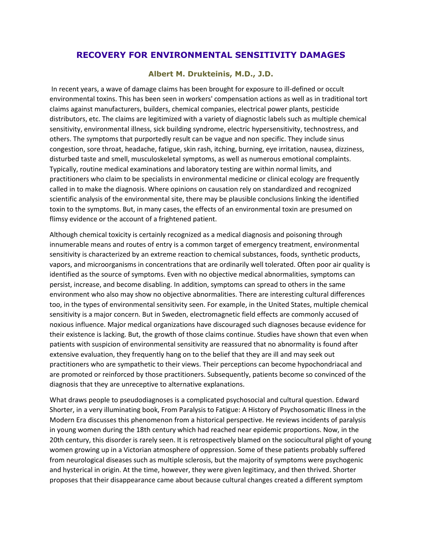## **RECOVERY FOR ENVIRONMENTAL SENSITIVITY DAMAGES**

## **Albert M. Drukteinis, M.D., J.D.**

In recent years, a wave of damage claims has been brought for exposure to ill-defined or occult environmental toxins. This has been seen in workers' compensation actions as well as in traditional tort claims against manufacturers, builders, chemical companies, electrical power plants, pesticide distributors, etc. The claims are legitimized with a variety of diagnostic labels such as multiple chemical sensitivity, environmental illness, sick building syndrome, electric hypersensitivity, technostress, and others. The symptoms that purportedly result can be vague and non specific. They include sinus congestion, sore throat, headache, fatigue, skin rash, itching, burning, eye irritation, nausea, dizziness, disturbed taste and smell, musculoskeletal symptoms, as well as numerous emotional complaints. Typically, routine medical examinations and laboratory testing are within normal limits, and practitioners who claim to be specialists in environmental medicine or clinical ecology are frequently called in to make the diagnosis. Where opinions on causation rely on standardized and recognized scientific analysis of the environmental site, there may be plausible conclusions linking the identified toxin to the symptoms. But, in many cases, the effects of an environmental toxin are presumed on flimsy evidence or the account of a frightened patient.

Although chemical toxicity is certainly recognized as a medical diagnosis and poisoning through innumerable means and routes of entry is a common target of emergency treatment, environmental sensitivity is characterized by an extreme reaction to chemical substances, foods, synthetic products, vapors, and microorganisms in concentrations that are ordinarily well tolerated. Often poor air quality is identified as the source of symptoms. Even with no objective medical abnormalities, symptoms can persist, increase, and become disabling. In addition, symptoms can spread to others in the same environment who also may show no objective abnormalities. There are interesting cultural differences too, in the types of environmental sensitivity seen. For example, in the United States, multiple chemical sensitivity is a major concern. But in Sweden, electromagnetic field effects are commonly accused of noxious influence. Major medical organizations have discouraged such diagnoses because evidence for their existence is lacking. But, the growth of those claims continue. Studies have shown that even when patients with suspicion of environmental sensitivity are reassured that no abnormality is found after extensive evaluation, they frequently hang on to the belief that they are ill and may seek out practitioners who are sympathetic to their views. Their perceptions can become hypochondriacal and are promoted or reinforced by those practitioners. Subsequently, patients become so convinced of the diagnosis that they are unreceptive to alternative explanations.

What draws people to pseudodiagnoses is a complicated psychosocial and cultural question. Edward Shorter, in a very illuminating book, From Paralysis to Fatigue: A History of Psychosomatic Illness in the Modern Era discusses this phenomenon from a historical perspective. He reviews incidents of paralysis in young women during the 18th century which had reached near epidemic proportions. Now, in the 20th century, this disorder is rarely seen. It is retrospectively blamed on the sociocultural plight of young women growing up in a Victorian atmosphere of oppression. Some of these patients probably suffered from neurological diseases such as multiple sclerosis, but the majority of symptoms were psychogenic and hysterical in origin. At the time, however, they were given legitimacy, and then thrived. Shorter proposes that their disappearance came about because cultural changes created a different symptom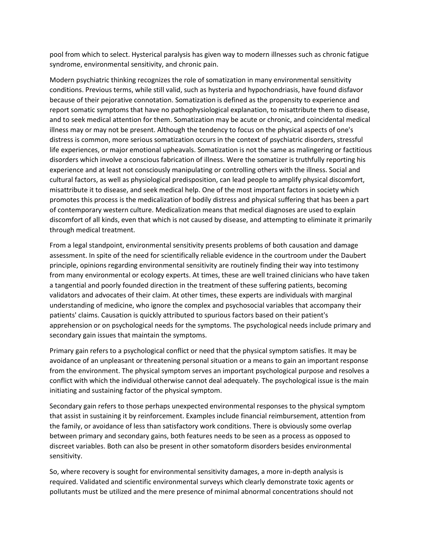pool from which to select. Hysterical paralysis has given way to modern illnesses such as chronic fatigue syndrome, environmental sensitivity, and chronic pain.

Modern psychiatric thinking recognizes the role of somatization in many environmental sensitivity conditions. Previous terms, while still valid, such as hysteria and hypochondriasis, have found disfavor because of their pejorative connotation. Somatization is defined as the propensity to experience and report somatic symptoms that have no pathophysiological explanation, to misattribute them to disease, and to seek medical attention for them. Somatization may be acute or chronic, and coincidental medical illness may or may not be present. Although the tendency to focus on the physical aspects of one's distress is common, more serious somatization occurs in the context of psychiatric disorders, stressful life experiences, or major emotional upheavals. Somatization is not the same as malingering or factitious disorders which involve a conscious fabrication of illness. Were the somatizer is truthfully reporting his experience and at least not consciously manipulating or controlling others with the illness. Social and cultural factors, as well as physiological predisposition, can lead people to amplify physical discomfort, misattribute it to disease, and seek medical help. One of the most important factors in society which promotes this process is the medicalization of bodily distress and physical suffering that has been a part of contemporary western culture. Medicalization means that medical diagnoses are used to explain discomfort of all kinds, even that which is not caused by disease, and attempting to eliminate it primarily through medical treatment.

From a legal standpoint, environmental sensitivity presents problems of both causation and damage assessment. In spite of the need for scientifically reliable evidence in the courtroom under the Daubert principle, opinions regarding environmental sensitivity are routinely finding their way into testimony from many environmental or ecology experts. At times, these are well trained clinicians who have taken a tangential and poorly founded direction in the treatment of these suffering patients, becoming validators and advocates of their claim. At other times, these experts are individuals with marginal understanding of medicine, who ignore the complex and psychosocial variables that accompany their patients' claims. Causation is quickly attributed to spurious factors based on their patient's apprehension or on psychological needs for the symptoms. The psychological needs include primary and secondary gain issues that maintain the symptoms.

Primary gain refers to a psychological conflict or need that the physical symptom satisfies. It may be avoidance of an unpleasant or threatening personal situation or a means to gain an important response from the environment. The physical symptom serves an important psychological purpose and resolves a conflict with which the individual otherwise cannot deal adequately. The psychological issue is the main initiating and sustaining factor of the physical symptom.

Secondary gain refers to those perhaps unexpected environmental responses to the physical symptom that assist in sustaining it by reinforcement. Examples include financial reimbursement, attention from the family, or avoidance of less than satisfactory work conditions. There is obviously some overlap between primary and secondary gains, both features needs to be seen as a process as opposed to discreet variables. Both can also be present in other somatoform disorders besides environmental sensitivity.

So, where recovery is sought for environmental sensitivity damages, a more in-depth analysis is required. Validated and scientific environmental surveys which clearly demonstrate toxic agents or pollutants must be utilized and the mere presence of minimal abnormal concentrations should not